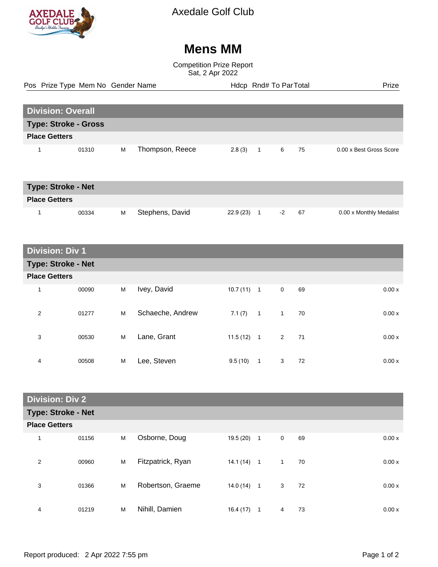

Axedale Golf Club

## **Mens MM**

Competition Prize Report Sat, 2 Apr 2022

|                             | Pos Prize Type Mem No Gender Name |   |                 |            | Hdcp Rnd# To ParTotal |   |    |                         | Prize |
|-----------------------------|-----------------------------------|---|-----------------|------------|-----------------------|---|----|-------------------------|-------|
|                             |                                   |   |                 |            |                       |   |    |                         |       |
| <b>Division: Overall</b>    |                                   |   |                 |            |                       |   |    |                         |       |
| <b>Type: Stroke - Gross</b> |                                   |   |                 |            |                       |   |    |                         |       |
| <b>Place Getters</b>        |                                   |   |                 |            |                       |   |    |                         |       |
|                             | 01310                             | M | Thompson, Reece | $2.8(3)$ 1 |                       | 6 | 75 | 0.00 x Best Gross Score |       |

| <b>Type: Stroke - Net</b> |       |   |                 |           |  |      |    |                         |
|---------------------------|-------|---|-----------------|-----------|--|------|----|-------------------------|
| <b>Place Getters</b>      |       |   |                 |           |  |      |    |                         |
|                           | 00334 | M | Stephens, David | 22.9 (23) |  | $-2$ | 67 | 0.00 x Monthly Medalist |

## **Division: Div 1**

| <b>Type: Stroke - Net</b> |       |   |                  |              |                |              |    |  |       |
|---------------------------|-------|---|------------------|--------------|----------------|--------------|----|--|-------|
| <b>Place Getters</b>      |       |   |                  |              |                |              |    |  |       |
| 1                         | 00090 | M | Ivey, David      | $10.7(11)$ 1 |                | $\mathbf 0$  | 69 |  | 0.00x |
| 2                         | 01277 | M | Schaeche, Andrew | 7.1(7)       | $\overline{1}$ | $\mathbf{1}$ | 70 |  | 0.00x |
| 3                         | 00530 | M | Lane, Grant      | 11.5(12)     | $\overline{1}$ | $2^{\circ}$  | 71 |  | 0.00x |
| 4                         | 00508 | M | Lee, Steven      | 9.5(10)      | 1              | 3            | 72 |  | 0.00x |

| <b>Division: Div 2</b>    |       |   |                   |              |                |                |    |        |  |
|---------------------------|-------|---|-------------------|--------------|----------------|----------------|----|--------|--|
| <b>Type: Stroke - Net</b> |       |   |                   |              |                |                |    |        |  |
| <b>Place Getters</b>      |       |   |                   |              |                |                |    |        |  |
| $\overline{\mathbf{A}}$   | 01156 | M | Osborne, Doug     | 19.5 (20)    | $\overline{1}$ | $\mathbf 0$    | 69 | 0.00x  |  |
| $\overline{2}$            | 00960 | M | Fitzpatrick, Ryan | $14.1(14)$ 1 |                | $\overline{1}$ | 70 | 0.00x  |  |
| 3                         | 01366 | M | Robertson, Graeme | $14.0(14)$ 1 |                | 3              | 72 | 0.00 x |  |
| 4                         | 01219 | M | Nihill, Damien    | 16.4(17)     | 1              | 4              | 73 | 0.00x  |  |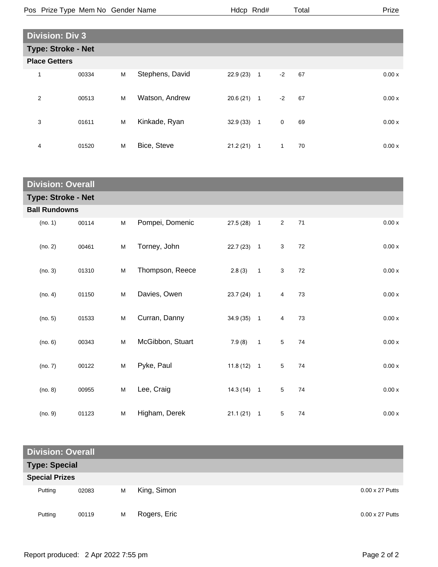|                        | Pos Prize Type Mem No Gender Name |   |                 | Hdcp Rnd# |                |              | Total |  | Prize  |
|------------------------|-----------------------------------|---|-----------------|-----------|----------------|--------------|-------|--|--------|
|                        |                                   |   |                 |           |                |              |       |  |        |
| <b>Division: Div 3</b> |                                   |   |                 |           |                |              |       |  |        |
|                        | <b>Type: Stroke - Net</b>         |   |                 |           |                |              |       |  |        |
| <b>Place Getters</b>   |                                   |   |                 |           |                |              |       |  |        |
| 1                      | 00334                             | M | Stephens, David | 22.9 (23) | $\mathbf{1}$   | $-2$         | 67    |  | 0.00x  |
| $\overline{2}$         | 00513                             | M | Watson, Andrew  | 20.6 (21) | $\overline{1}$ | $-2$         | 67    |  | 0.00x  |
| 3                      | 01611                             | M | Kinkade, Ryan   | 32.9(33)  | $\overline{1}$ | $\mathbf 0$  | 69    |  | 0.00 x |
| 4                      | 01520                             | M | Bice, Steve     | 21.2(21)  | $\mathbf{1}$   | $\mathbf{1}$ | 70    |  | 0.00x  |

| <b>Division: Overall</b> |                           |   |                  |              |              |                 |    |       |  |
|--------------------------|---------------------------|---|------------------|--------------|--------------|-----------------|----|-------|--|
|                          | <b>Type: Stroke - Net</b> |   |                  |              |              |                 |    |       |  |
| <b>Ball Rundowns</b>     |                           |   |                  |              |              |                 |    |       |  |
| (no. 1)                  | 00114                     | M | Pompei, Domenic  | $27.5(28)$ 1 |              | $\overline{2}$  | 71 | 0.00x |  |
| (no. 2)                  | 00461                     | M | Torney, John     | $22.7(23)$ 1 |              | 3               | 72 | 0.00x |  |
| (no. 3)                  | 01310                     | M | Thompson, Reece  | 2.8(3)       | $\mathbf{1}$ | 3               | 72 | 0.00x |  |
| (no. 4)                  | 01150                     | M | Davies, Owen     | $23.7(24)$ 1 |              | $\overline{4}$  | 73 | 0.00x |  |
| (no. 5)                  | 01533                     | M | Curran, Danny    | 34.9 (35) 1  |              | $\overline{4}$  | 73 | 0.00x |  |
| (no. 6)                  | 00343                     | M | McGibbon, Stuart | 7.9(8)       | $\mathbf{1}$ | $5\phantom{.0}$ | 74 | 0.00x |  |
| (no. 7)                  | 00122                     | M | Pyke, Paul       | $11.8(12)$ 1 |              | 5               | 74 | 0.00x |  |
| (no. 8)                  | 00955                     | M | Lee, Craig       | $14.3(14)$ 1 |              | $\overline{5}$  | 74 | 0.00x |  |
| (no. 9)                  | 01123                     | M | Higham, Derek    | $21.1(21)$ 1 |              | $5\phantom{.0}$ | 74 | 0.00x |  |

| <b>Division: Overall</b> |       |   |              |  |                        |  |  |
|--------------------------|-------|---|--------------|--|------------------------|--|--|
| <b>Type: Special</b>     |       |   |              |  |                        |  |  |
| <b>Special Prizes</b>    |       |   |              |  |                        |  |  |
| Putting                  | 02083 | M | King, Simon  |  | $0.00 \times 27$ Putts |  |  |
| Putting                  | 00119 | M | Rogers, Eric |  | $0.00 \times 27$ Putts |  |  |